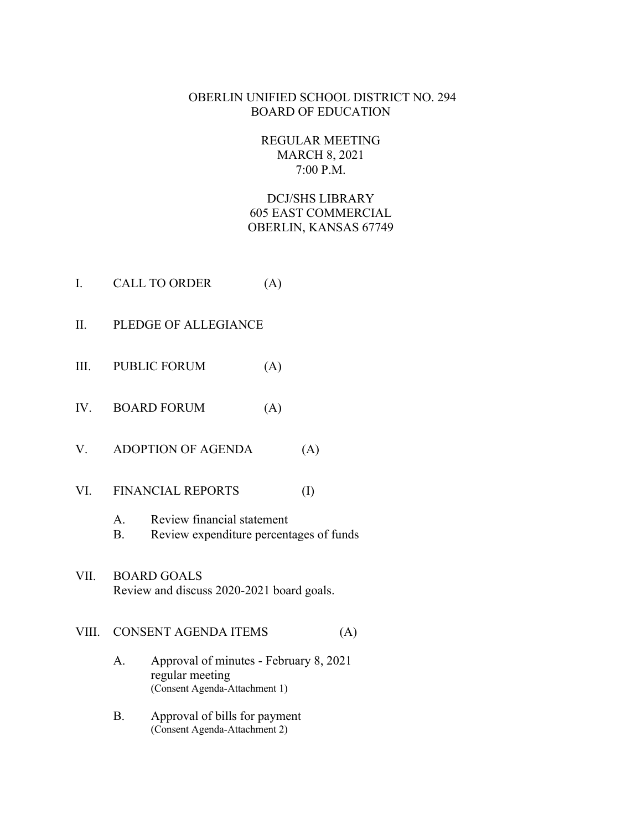## OBERLIN UNIFIED SCHOOL DISTRICT NO. 294 BOARD OF EDUCATION

# REGULAR MEETING MARCH 8, 2021 7:00 P.M.

DCJ/SHS LIBRARY 605 EAST COMMERCIAL OBERLIN, KANSAS 67749

- I. CALL TO ORDER (A)
- II. PLEDGE OF ALLEGIANCE
- III. PUBLIC FORUM (A)
- IV. BOARD FORUM (A)
- V. ADOPTION OF AGENDA (A)
- VI. FINANCIAL REPORTS (I)
	- A. Review financial statement
	- B. Review expenditure percentages of funds
- VII. BOARD GOALS Review and discuss 2020-2021 board goals.

#### VIII. CONSENT AGENDA ITEMS (A)

- A. Approval of minutes February 8, 2021 regular meeting (Consent Agenda-Attachment 1)
- B. Approval of bills for payment (Consent Agenda-Attachment 2)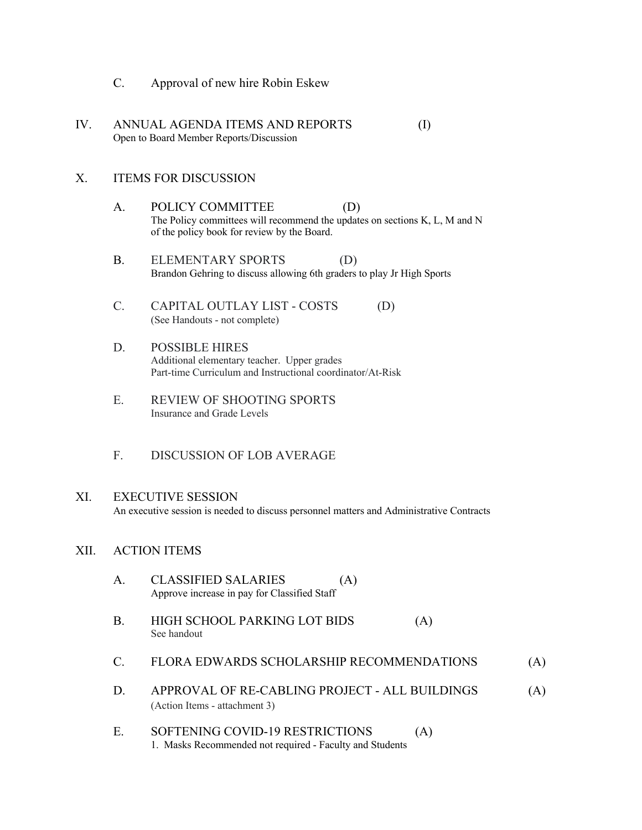- C. Approval of new hire Robin Eskew
- IV. ANNUAL AGENDA ITEMS AND REPORTS (I) Open to Board Member Reports/Discussion

#### X. ITEMS FOR DISCUSSION

- A. POLICY COMMITTEE (D) The Policy committees will recommend the updates on sections K, L, M and N of the policy book for review by the Board.
- B. ELEMENTARY SPORTS (D) Brandon Gehring to discuss allowing 6th graders to play Jr High Sports
- C. CAPITAL OUTLAY LIST COSTS (D) (See Handouts - not complete)
- D. POSSIBLE HIRES Additional elementary teacher. Upper grades Part-time Curriculum and Instructional coordinator/At-Risk
- E. REVIEW OF SHOOTING SPORTS Insurance and Grade Levels
- F. DISCUSSION OF LOB AVERAGE

#### XI. EXECUTIVE SESSION

An executive session is needed to discuss personnel matters and Administrative Contracts

#### XII. ACTION ITEMS

- A. CLASSIFIED SALARIES (A) Approve increase in pay for Classified Staff B. HIGH SCHOOL PARKING LOT BIDS (A) See handout C. FLORA EDWARDS SCHOLARSHIP RECOMMENDATIONS (A) D. APPROVAL OF RE-CABLING PROJECT - ALL BUILDINGS (A) (Action Items - attachment 3) E. SOFTENING COVID-19 RESTRICTIONS (A)
	- 1. Masks Recommended not required Faculty and Students